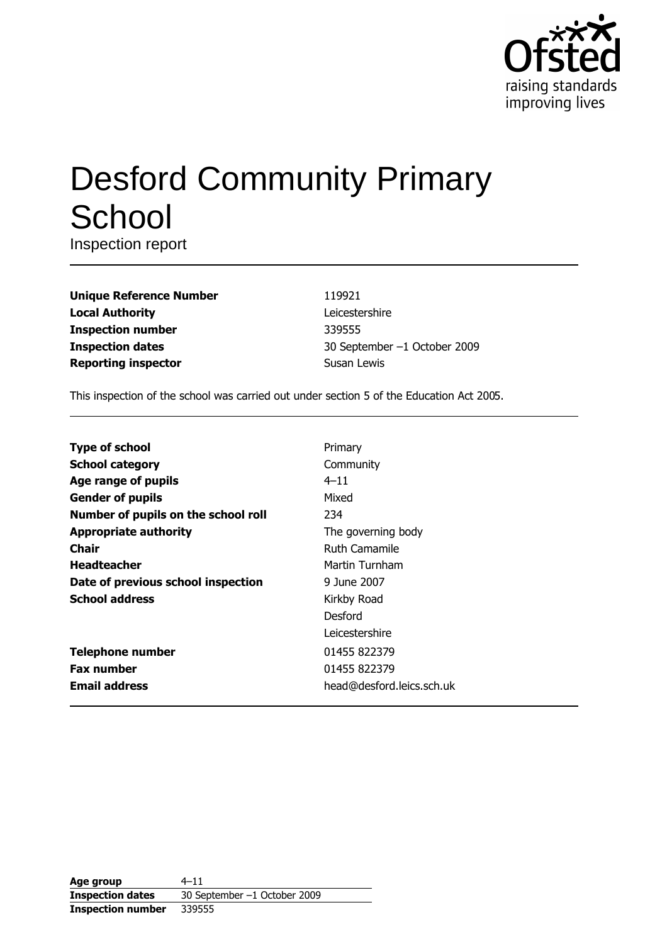

# **Desford Community Primary** School

Inspection report

| <b>Unique Reference Number</b> |
|--------------------------------|
| <b>Local Authority</b>         |
| <b>Inspection number</b>       |
| <b>Inspection dates</b>        |
| <b>Reporting inspector</b>     |

119921 Leicestershire 339555 30 September -1 October 2009 Susan Lewis

This inspection of the school was carried out under section 5 of the Education Act 2005.

| <b>Type of school</b>               | Primary                   |
|-------------------------------------|---------------------------|
| <b>School category</b>              | Community                 |
| Age range of pupils                 | $4 - 11$                  |
| <b>Gender of pupils</b>             | Mixed                     |
| Number of pupils on the school roll | 234                       |
| <b>Appropriate authority</b>        | The governing body        |
| Chair                               | <b>Ruth Camamile</b>      |
| <b>Headteacher</b>                  | Martin Turnham            |
| Date of previous school inspection  | 9 June 2007               |
| <b>School address</b>               | Kirkby Road               |
|                                     | Desford                   |
|                                     | Leicestershire            |
| <b>Telephone number</b>             | 01455 822379              |
| <b>Fax number</b>                   | 01455 822379              |
| <b>Email address</b>                | head@desford.leics.sch.uk |

Age group  $4 - 11$ 30 September -1 October 2009 **Inspection dates Inspection number** 339555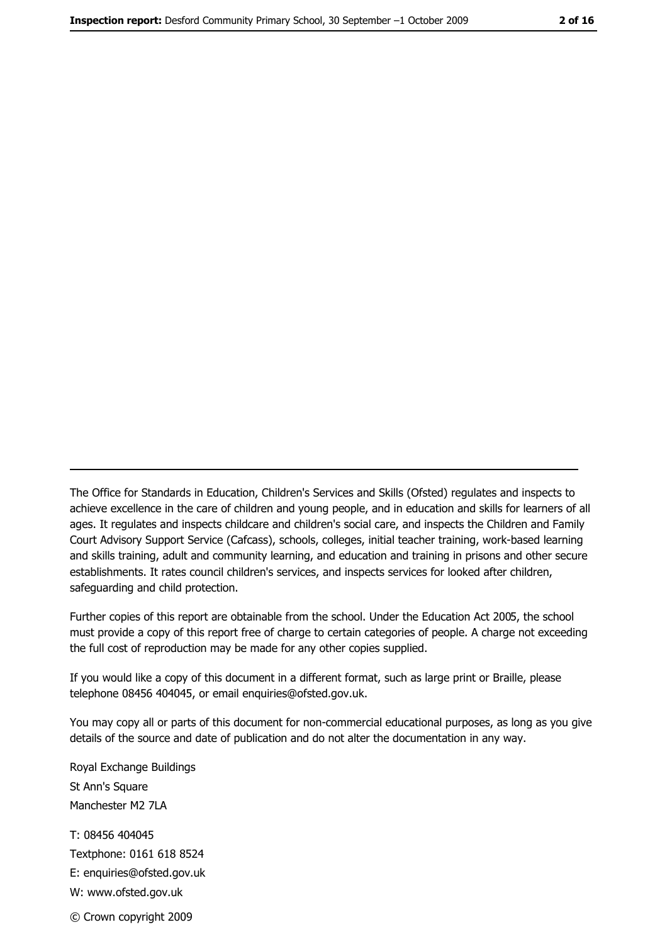The Office for Standards in Education, Children's Services and Skills (Ofsted) regulates and inspects to achieve excellence in the care of children and young people, and in education and skills for learners of all ages. It regulates and inspects childcare and children's social care, and inspects the Children and Family Court Advisory Support Service (Cafcass), schools, colleges, initial teacher training, work-based learning and skills training, adult and community learning, and education and training in prisons and other secure establishments. It rates council children's services, and inspects services for looked after children, safequarding and child protection.

Further copies of this report are obtainable from the school. Under the Education Act 2005, the school must provide a copy of this report free of charge to certain categories of people. A charge not exceeding the full cost of reproduction may be made for any other copies supplied.

If you would like a copy of this document in a different format, such as large print or Braille, please telephone 08456 404045, or email enquiries@ofsted.gov.uk.

You may copy all or parts of this document for non-commercial educational purposes, as long as you give details of the source and date of publication and do not alter the documentation in any way.

Royal Exchange Buildings St Ann's Square Manchester M2 7LA T: 08456 404045 Textphone: 0161 618 8524 E: enquiries@ofsted.gov.uk W: www.ofsted.gov.uk © Crown copyright 2009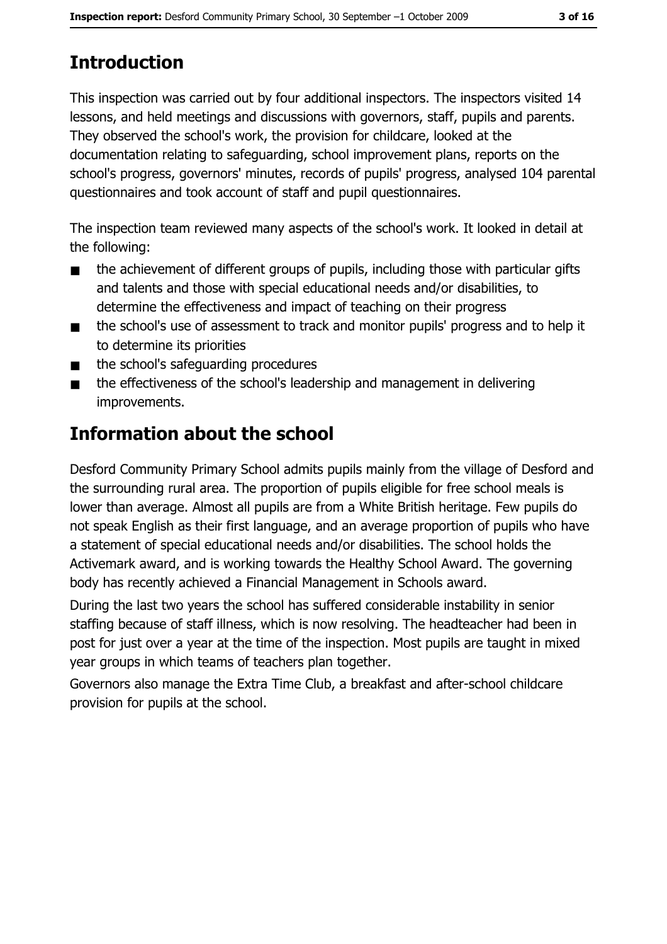# **Introduction**

This inspection was carried out by four additional inspectors. The inspectors visited 14 lessons, and held meetings and discussions with governors, staff, pupils and parents. They observed the school's work, the provision for childcare, looked at the documentation relating to safeguarding, school improvement plans, reports on the school's progress, governors' minutes, records of pupils' progress, analysed 104 parental questionnaires and took account of staff and pupil questionnaires.

The inspection team reviewed many aspects of the school's work. It looked in detail at the following:

- the achievement of different groups of pupils, including those with particular gifts  $\blacksquare$ and talents and those with special educational needs and/or disabilities, to determine the effectiveness and impact of teaching on their progress
- the school's use of assessment to track and monitor pupils' progress and to help it  $\blacksquare$ to determine its priorities
- the school's safeguarding procedures  $\blacksquare$
- the effectiveness of the school's leadership and management in delivering  $\blacksquare$ improvements.

# **Information about the school**

Desford Community Primary School admits pupils mainly from the village of Desford and the surrounding rural area. The proportion of pupils eligible for free school meals is lower than average. Almost all pupils are from a White British heritage. Few pupils do not speak English as their first language, and an average proportion of pupils who have a statement of special educational needs and/or disabilities. The school holds the Activemark award, and is working towards the Healthy School Award. The governing body has recently achieved a Financial Management in Schools award.

During the last two years the school has suffered considerable instability in senior staffing because of staff illness, which is now resolving. The headteacher had been in post for just over a year at the time of the inspection. Most pupils are taught in mixed year groups in which teams of teachers plan together.

Governors also manage the Extra Time Club, a breakfast and after-school childcare provision for pupils at the school.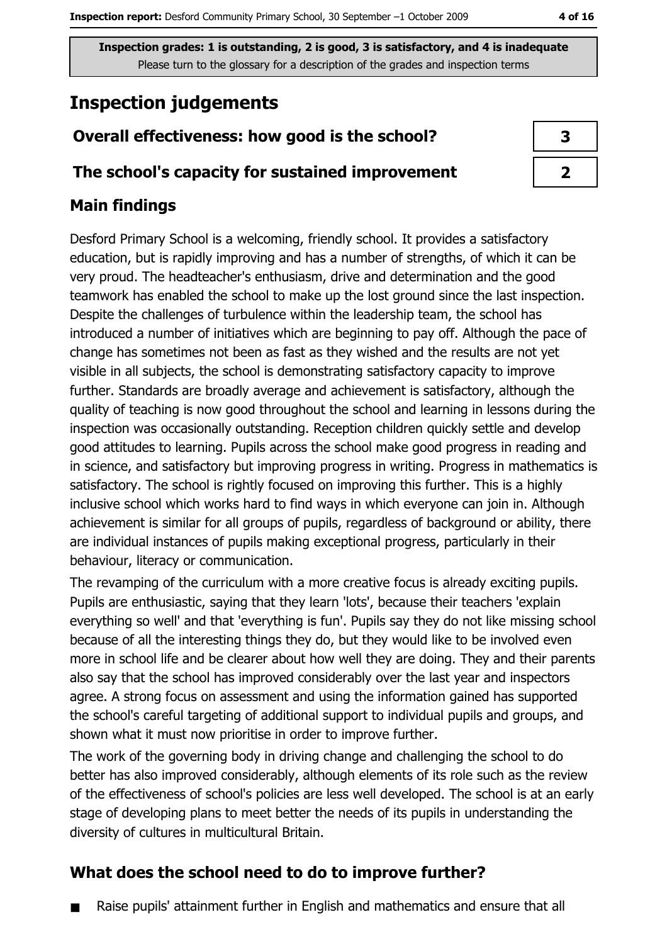# **Inspection judgements**

# Overall effectiveness: how good is the school?

## The school's capacity for sustained improvement

# **Main findings**

Desford Primary School is a welcoming, friendly school. It provides a satisfactory education, but is rapidly improving and has a number of strengths, of which it can be very proud. The headteacher's enthusiasm, drive and determination and the good teamwork has enabled the school to make up the lost ground since the last inspection. Despite the challenges of turbulence within the leadership team, the school has introduced a number of initiatives which are beginning to pay off. Although the pace of change has sometimes not been as fast as they wished and the results are not yet visible in all subjects, the school is demonstrating satisfactory capacity to improve further. Standards are broadly average and achievement is satisfactory, although the quality of teaching is now good throughout the school and learning in lessons during the inspection was occasionally outstanding. Reception children quickly settle and develop good attitudes to learning. Pupils across the school make good progress in reading and in science, and satisfactory but improving progress in writing. Progress in mathematics is satisfactory. The school is rightly focused on improving this further. This is a highly inclusive school which works hard to find ways in which everyone can join in. Although achievement is similar for all groups of pupils, regardless of background or ability, there are individual instances of pupils making exceptional progress, particularly in their behaviour, literacy or communication.

The revamping of the curriculum with a more creative focus is already exciting pupils. Pupils are enthusiastic, saying that they learn 'lots', because their teachers 'explain everything so well' and that 'everything is fun'. Pupils say they do not like missing school because of all the interesting things they do, but they would like to be involved even more in school life and be clearer about how well they are doing. They and their parents also say that the school has improved considerably over the last year and inspectors agree. A strong focus on assessment and using the information gained has supported the school's careful targeting of additional support to individual pupils and groups, and shown what it must now prioritise in order to improve further.

The work of the governing body in driving change and challenging the school to do better has also improved considerably, although elements of its role such as the review of the effectiveness of school's policies are less well developed. The school is at an early stage of developing plans to meet better the needs of its pupils in understanding the diversity of cultures in multicultural Britain.

# What does the school need to do to improve further?

Raise pupils' attainment further in English and mathematics and ensure that all  $\blacksquare$ 

| 3 |  |
|---|--|
| 2 |  |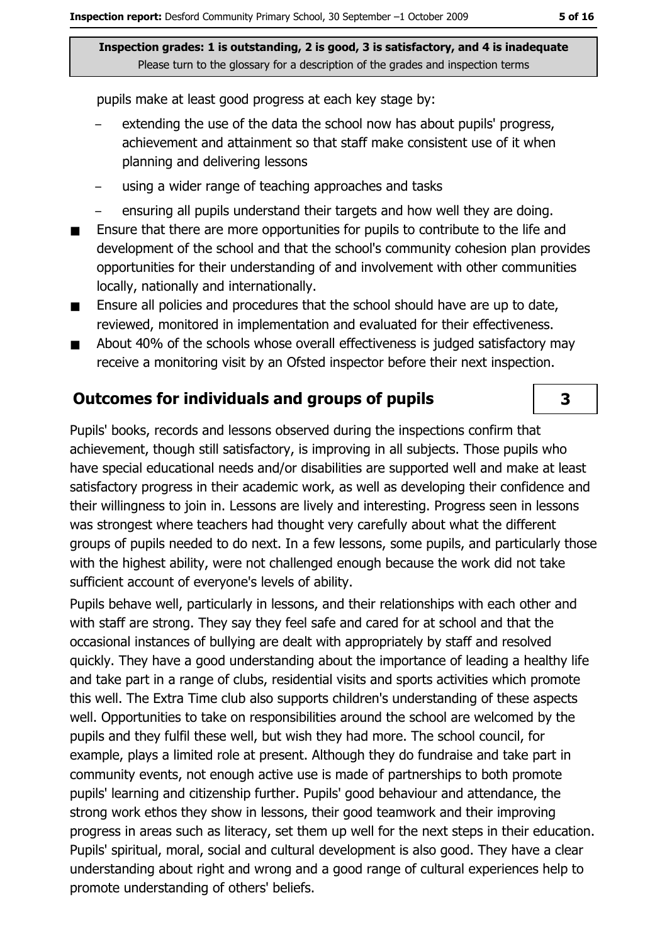pupils make at least good progress at each key stage by:

- extending the use of the data the school now has about pupils' progress, achievement and attainment so that staff make consistent use of it when planning and delivering lessons
- using a wider range of teaching approaches and tasks
- ensuring all pupils understand their targets and how well they are doing.
- Ensure that there are more opportunities for pupils to contribute to the life and  $\blacksquare$ development of the school and that the school's community cohesion plan provides opportunities for their understanding of and involvement with other communities locally, nationally and internationally.
- Ensure all policies and procedures that the school should have are up to date,  $\blacksquare$ reviewed, monitored in implementation and evaluated for their effectiveness.
- About 40% of the schools whose overall effectiveness is judged satisfactory may  $\blacksquare$ receive a monitoring visit by an Ofsted inspector before their next inspection.

#### **Outcomes for individuals and groups of pupils**

Pupils' books, records and lessons observed during the inspections confirm that achievement, though still satisfactory, is improving in all subjects. Those pupils who have special educational needs and/or disabilities are supported well and make at least satisfactory progress in their academic work, as well as developing their confidence and their willingness to join in. Lessons are lively and interesting. Progress seen in lessons was strongest where teachers had thought very carefully about what the different groups of pupils needed to do next. In a few lessons, some pupils, and particularly those with the highest ability, were not challenged enough because the work did not take sufficient account of everyone's levels of ability.

Pupils behave well, particularly in lessons, and their relationships with each other and with staff are strong. They say they feel safe and cared for at school and that the occasional instances of bullying are dealt with appropriately by staff and resolved quickly. They have a good understanding about the importance of leading a healthy life and take part in a range of clubs, residential visits and sports activities which promote this well. The Extra Time club also supports children's understanding of these aspects well. Opportunities to take on responsibilities around the school are welcomed by the pupils and they fulfil these well, but wish they had more. The school council, for example, plays a limited role at present. Although they do fundraise and take part in community events, not enough active use is made of partnerships to both promote pupils' learning and citizenship further. Pupils' good behaviour and attendance, the strong work ethos they show in lessons, their good teamwork and their improving progress in areas such as literacy, set them up well for the next steps in their education. Pupils' spiritual, moral, social and cultural development is also good. They have a clear understanding about right and wrong and a good range of cultural experiences help to promote understanding of others' beliefs.

 $\overline{\mathbf{3}}$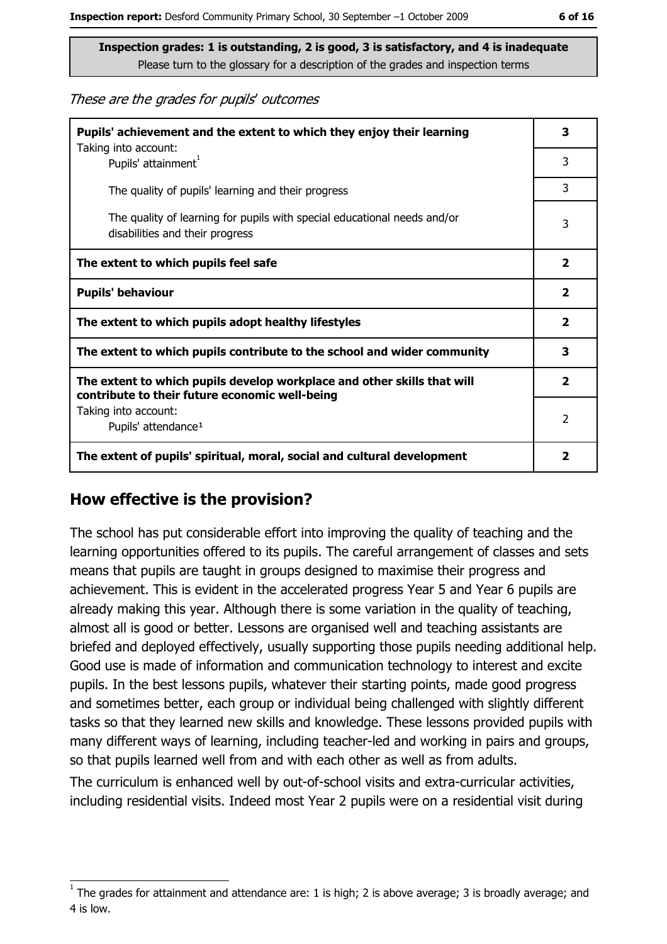These are the grades for pupils' outcomes

| Pupils' achievement and the extent to which they enjoy their learning                                                     |                         |
|---------------------------------------------------------------------------------------------------------------------------|-------------------------|
| Taking into account:<br>Pupils' attainment <sup>1</sup>                                                                   | 3                       |
| The quality of pupils' learning and their progress                                                                        | 3                       |
| The quality of learning for pupils with special educational needs and/or<br>disabilities and their progress               | 3                       |
| The extent to which pupils feel safe                                                                                      | $\mathbf{2}$            |
| <b>Pupils' behaviour</b>                                                                                                  | $\mathbf{2}$            |
| The extent to which pupils adopt healthy lifestyles                                                                       | $\overline{\mathbf{2}}$ |
| The extent to which pupils contribute to the school and wider community                                                   |                         |
| The extent to which pupils develop workplace and other skills that will<br>contribute to their future economic well-being | $\mathbf{2}$            |
| Taking into account:<br>Pupils' attendance <sup>1</sup>                                                                   | 2                       |
| The extent of pupils' spiritual, moral, social and cultural development                                                   | 2                       |

## How effective is the provision?

The school has put considerable effort into improving the quality of teaching and the learning opportunities offered to its pupils. The careful arrangement of classes and sets means that pupils are taught in groups designed to maximise their progress and achievement. This is evident in the accelerated progress Year 5 and Year 6 pupils are already making this year. Although there is some variation in the quality of teaching, almost all is good or better. Lessons are organised well and teaching assistants are briefed and deployed effectively, usually supporting those pupils needing additional help. Good use is made of information and communication technology to interest and excite pupils. In the best lessons pupils, whatever their starting points, made good progress and sometimes better, each group or individual being challenged with slightly different tasks so that they learned new skills and knowledge. These lessons provided pupils with many different ways of learning, including teacher-led and working in pairs and groups, so that pupils learned well from and with each other as well as from adults.

The curriculum is enhanced well by out-of-school visits and extra-curricular activities, including residential visits. Indeed most Year 2 pupils were on a residential visit during

The grades for attainment and attendance are: 1 is high; 2 is above average; 3 is broadly average; and 4 is low.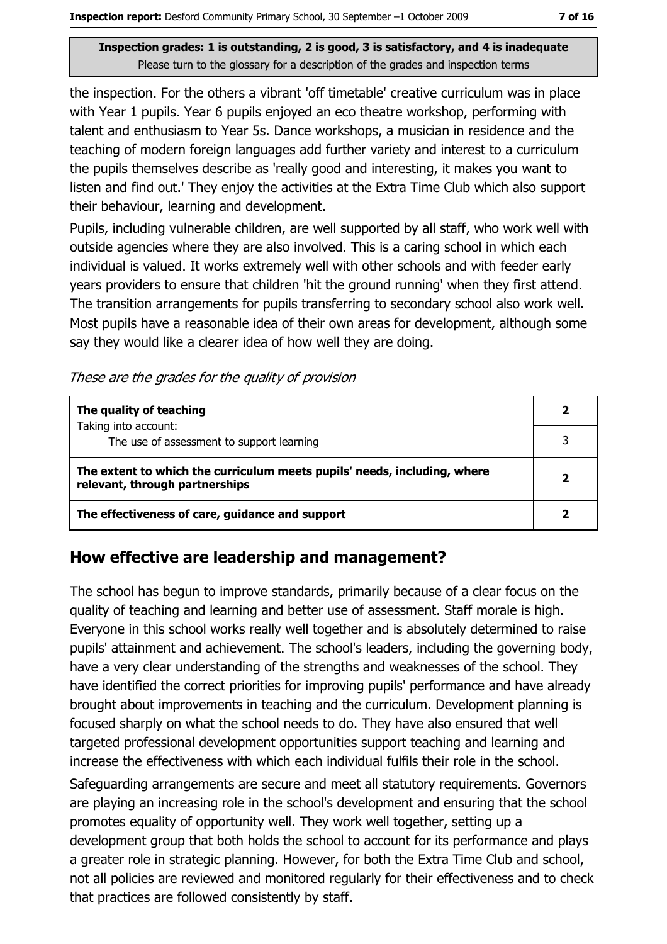the inspection. For the others a vibrant 'off timetable' creative curriculum was in place with Year 1 pupils. Year 6 pupils enjoyed an eco theatre workshop, performing with talent and enthusiasm to Year 5s. Dance workshops, a musician in residence and the teaching of modern foreign languages add further variety and interest to a curriculum the pupils themselves describe as 'really good and interesting, it makes you want to listen and find out.' They enjoy the activities at the Extra Time Club which also support their behaviour, learning and development.

Pupils, including vulnerable children, are well supported by all staff, who work well with outside agencies where they are also involved. This is a caring school in which each individual is valued. It works extremely well with other schools and with feeder early years providers to ensure that children 'hit the ground running' when they first attend. The transition arrangements for pupils transferring to secondary school also work well. Most pupils have a reasonable idea of their own areas for development, although some say they would like a clearer idea of how well they are doing.

These are the grades for the quality of provision

| The quality of teaching                                                                                    |  |
|------------------------------------------------------------------------------------------------------------|--|
| Taking into account:<br>The use of assessment to support learning                                          |  |
| The extent to which the curriculum meets pupils' needs, including, where<br>relevant, through partnerships |  |
| The effectiveness of care, guidance and support                                                            |  |

## How effective are leadership and management?

The school has begun to improve standards, primarily because of a clear focus on the quality of teaching and learning and better use of assessment. Staff morale is high. Everyone in this school works really well together and is absolutely determined to raise pupils' attainment and achievement. The school's leaders, including the governing body, have a very clear understanding of the strengths and weaknesses of the school. They have identified the correct priorities for improving pupils' performance and have already brought about improvements in teaching and the curriculum. Development planning is focused sharply on what the school needs to do. They have also ensured that well targeted professional development opportunities support teaching and learning and increase the effectiveness with which each individual fulfils their role in the school. Safeguarding arrangements are secure and meet all statutory requirements. Governors are playing an increasing role in the school's development and ensuring that the school promotes equality of opportunity well. They work well together, setting up a development group that both holds the school to account for its performance and plays a greater role in strategic planning. However, for both the Extra Time Club and school, not all policies are reviewed and monitored regularly for their effectiveness and to check that practices are followed consistently by staff.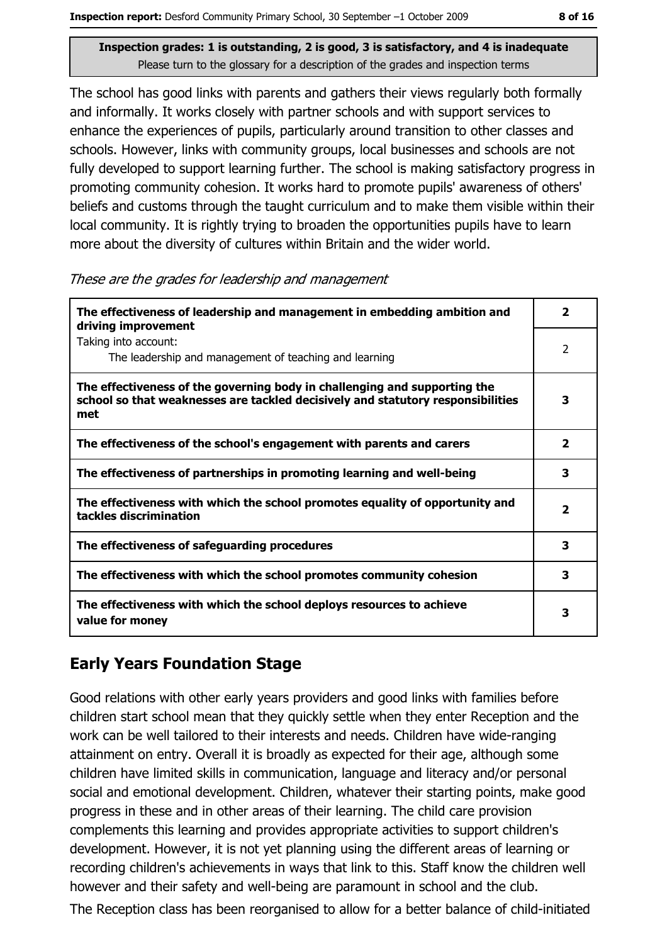The school has good links with parents and gathers their views regularly both formally and informally. It works closely with partner schools and with support services to enhance the experiences of pupils, particularly around transition to other classes and schools. However, links with community groups, local businesses and schools are not fully developed to support learning further. The school is making satisfactory progress in promoting community cohesion. It works hard to promote pupils' awareness of others' beliefs and customs through the taught curriculum and to make them visible within their local community. It is rightly trying to broaden the opportunities pupils have to learn more about the diversity of cultures within Britain and the wider world.

#### These are the grades for leadership and management

| The effectiveness of leadership and management in embedding ambition and<br>driving improvement                                                                     | $\overline{\mathbf{2}}$ |
|---------------------------------------------------------------------------------------------------------------------------------------------------------------------|-------------------------|
| Taking into account:<br>The leadership and management of teaching and learning                                                                                      | 2                       |
| The effectiveness of the governing body in challenging and supporting the<br>school so that weaknesses are tackled decisively and statutory responsibilities<br>met | 3                       |
| The effectiveness of the school's engagement with parents and carers                                                                                                | $\overline{\mathbf{2}}$ |
| The effectiveness of partnerships in promoting learning and well-being                                                                                              | 3                       |
| The effectiveness with which the school promotes equality of opportunity and<br>tackles discrimination                                                              | 2                       |
| The effectiveness of safeguarding procedures                                                                                                                        | 3                       |
| The effectiveness with which the school promotes community cohesion                                                                                                 | 3                       |
| The effectiveness with which the school deploys resources to achieve<br>value for money                                                                             | 3                       |

## **Early Years Foundation Stage**

Good relations with other early years providers and good links with families before children start school mean that they quickly settle when they enter Reception and the work can be well tailored to their interests and needs. Children have wide-ranging attainment on entry. Overall it is broadly as expected for their age, although some children have limited skills in communication, language and literacy and/or personal social and emotional development. Children, whatever their starting points, make good progress in these and in other areas of their learning. The child care provision complements this learning and provides appropriate activities to support children's development. However, it is not yet planning using the different areas of learning or recording children's achievements in ways that link to this. Staff know the children well however and their safety and well-being are paramount in school and the club.

The Reception class has been reorganised to allow for a better balance of child-initiated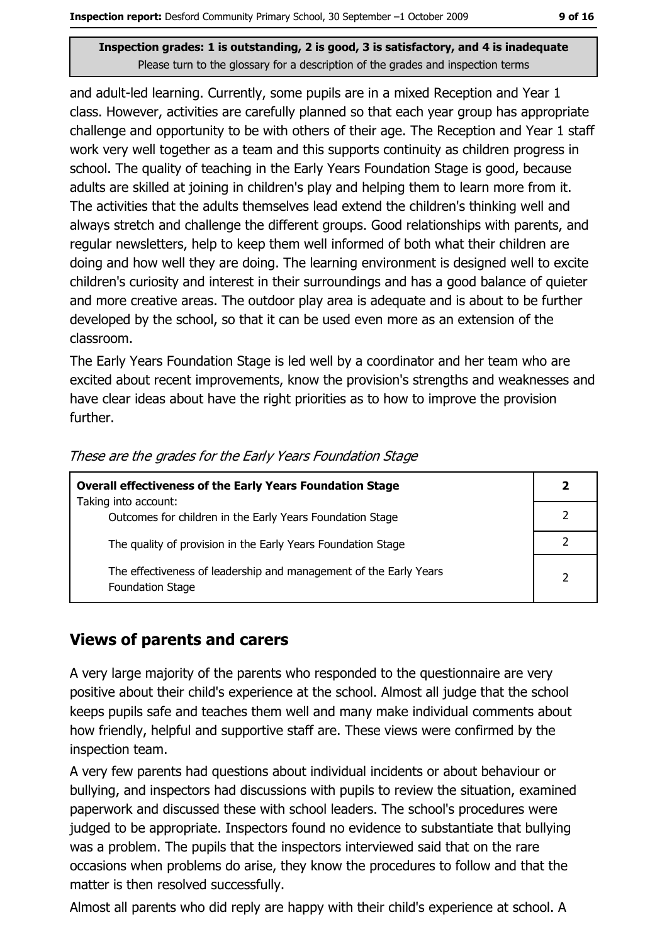and adult-led learning. Currently, some pupils are in a mixed Reception and Year 1 class. However, activities are carefully planned so that each year group has appropriate challenge and opportunity to be with others of their age. The Reception and Year 1 staff work very well together as a team and this supports continuity as children progress in school. The quality of teaching in the Early Years Foundation Stage is good, because adults are skilled at joining in children's play and helping them to learn more from it. The activities that the adults themselves lead extend the children's thinking well and always stretch and challenge the different groups. Good relationships with parents, and regular newsletters, help to keep them well informed of both what their children are doing and how well they are doing. The learning environment is designed well to excite children's curiosity and interest in their surroundings and has a good balance of quieter and more creative areas. The outdoor play area is adequate and is about to be further developed by the school, so that it can be used even more as an extension of the classroom.

The Early Years Foundation Stage is led well by a coordinator and her team who are excited about recent improvements, know the provision's strengths and weaknesses and have clear ideas about have the right priorities as to how to improve the provision further.

| <b>Overall effectiveness of the Early Years Foundation Stage</b>                      |  |
|---------------------------------------------------------------------------------------|--|
| Taking into account:<br>Outcomes for children in the Early Years Foundation Stage     |  |
| The quality of provision in the Early Years Foundation Stage                          |  |
| The effectiveness of leadership and management of the Early Years<br>Foundation Stage |  |

These are the grades for the Early Years Foundation Stage

## **Views of parents and carers**

A very large majority of the parents who responded to the questionnaire are very positive about their child's experience at the school. Almost all judge that the school keeps pupils safe and teaches them well and many make individual comments about how friendly, helpful and supportive staff are. These views were confirmed by the inspection team.

A very few parents had questions about individual incidents or about behaviour or bullying, and inspectors had discussions with pupils to review the situation, examined paperwork and discussed these with school leaders. The school's procedures were judged to be appropriate. Inspectors found no evidence to substantiate that bullying was a problem. The pupils that the inspectors interviewed said that on the rare occasions when problems do arise, they know the procedures to follow and that the matter is then resolved successfully.

Almost all parents who did reply are happy with their child's experience at school. A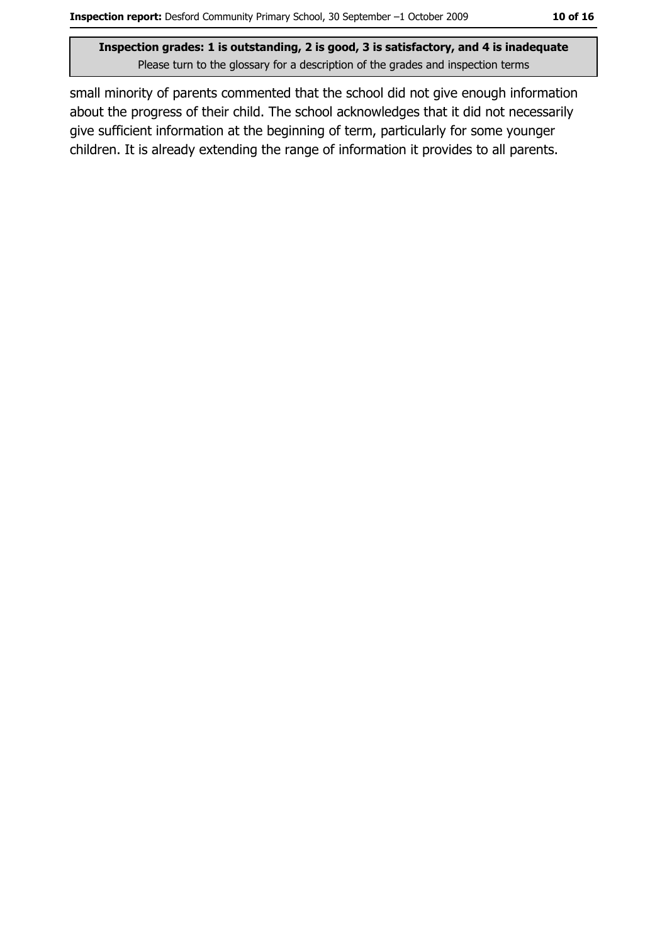small minority of parents commented that the school did not give enough information about the progress of their child. The school acknowledges that it did not necessarily give sufficient information at the beginning of term, particularly for some younger children. It is already extending the range of information it provides to all parents.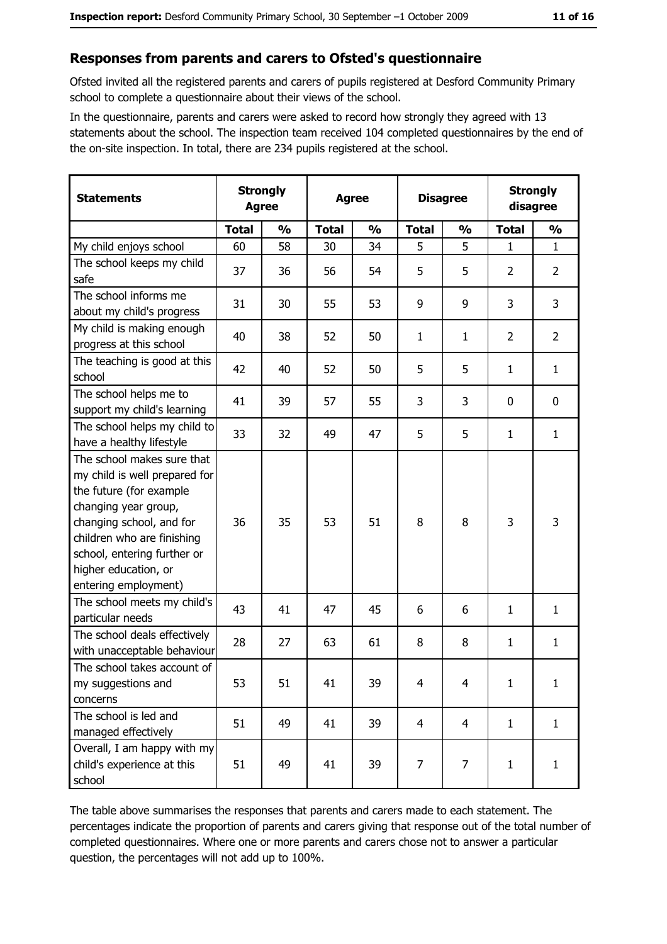#### Responses from parents and carers to Ofsted's questionnaire

Ofsted invited all the registered parents and carers of pupils registered at Desford Community Primary school to complete a questionnaire about their views of the school.

In the questionnaire, parents and carers were asked to record how strongly they agreed with 13 statements about the school. The inspection team received 104 completed questionnaires by the end of the on-site inspection. In total, there are 234 pupils registered at the school.

| <b>Statements</b>                                                                                                                                                                                                                                       | <b>Strongly</b><br><b>Agree</b> |               | <b>Agree</b> |               | <b>Disagree</b> |                | <b>Strongly</b><br>disagree |                |
|---------------------------------------------------------------------------------------------------------------------------------------------------------------------------------------------------------------------------------------------------------|---------------------------------|---------------|--------------|---------------|-----------------|----------------|-----------------------------|----------------|
|                                                                                                                                                                                                                                                         | <b>Total</b>                    | $\frac{0}{0}$ | <b>Total</b> | $\frac{0}{0}$ | <b>Total</b>    | $\frac{0}{0}$  | <b>Total</b>                | $\frac{0}{0}$  |
| My child enjoys school                                                                                                                                                                                                                                  | 60                              | 58            | 30           | 34            | 5               | 5              | $\mathbf{1}$                | $\mathbf{1}$   |
| The school keeps my child<br>safe                                                                                                                                                                                                                       | 37                              | 36            | 56           | 54            | 5               | 5              | 2                           | $\overline{2}$ |
| The school informs me<br>about my child's progress                                                                                                                                                                                                      | 31                              | 30            | 55           | 53            | 9               | 9              | 3                           | 3              |
| My child is making enough<br>progress at this school                                                                                                                                                                                                    | 40                              | 38            | 52           | 50            | $\mathbf{1}$    | $\mathbf{1}$   | $\overline{2}$              | $\overline{2}$ |
| The teaching is good at this<br>school                                                                                                                                                                                                                  | 42                              | 40            | 52           | 50            | 5               | 5              | 1                           | $\mathbf{1}$   |
| The school helps me to<br>support my child's learning                                                                                                                                                                                                   | 41                              | 39            | 57           | 55            | 3               | 3              | 0                           | 0              |
| The school helps my child to<br>have a healthy lifestyle                                                                                                                                                                                                | 33                              | 32            | 49           | 47            | 5               | 5              | 1                           | $\mathbf{1}$   |
| The school makes sure that<br>my child is well prepared for<br>the future (for example<br>changing year group,<br>changing school, and for<br>children who are finishing<br>school, entering further or<br>higher education, or<br>entering employment) | 36                              | 35            | 53           | 51            | 8               | 8              | 3                           | 3              |
| The school meets my child's<br>particular needs                                                                                                                                                                                                         | 43                              | 41            | 47           | 45            | 6               | 6              | 1                           | $\mathbf{1}$   |
| The school deals effectively<br>with unacceptable behaviour                                                                                                                                                                                             | 28                              | 27            | 63           | 61            | 8               | 8              | 1                           | $\mathbf{1}$   |
| The school takes account of<br>my suggestions and<br>concerns                                                                                                                                                                                           | 53                              | 51            | 41           | 39            | 4               | $\overline{4}$ | $\mathbf{1}$                | $\mathbf{1}$   |
| The school is led and<br>managed effectively                                                                                                                                                                                                            | 51                              | 49            | 41           | 39            | $\overline{4}$  | $\overline{4}$ | $\mathbf{1}$                | $\mathbf{1}$   |
| Overall, I am happy with my<br>child's experience at this<br>school                                                                                                                                                                                     | 51                              | 49            | 41           | 39            | 7               | 7              | 1                           | $\mathbf{1}$   |

The table above summarises the responses that parents and carers made to each statement. The percentages indicate the proportion of parents and carers giving that response out of the total number of completed questionnaires. Where one or more parents and carers chose not to answer a particular question, the percentages will not add up to 100%.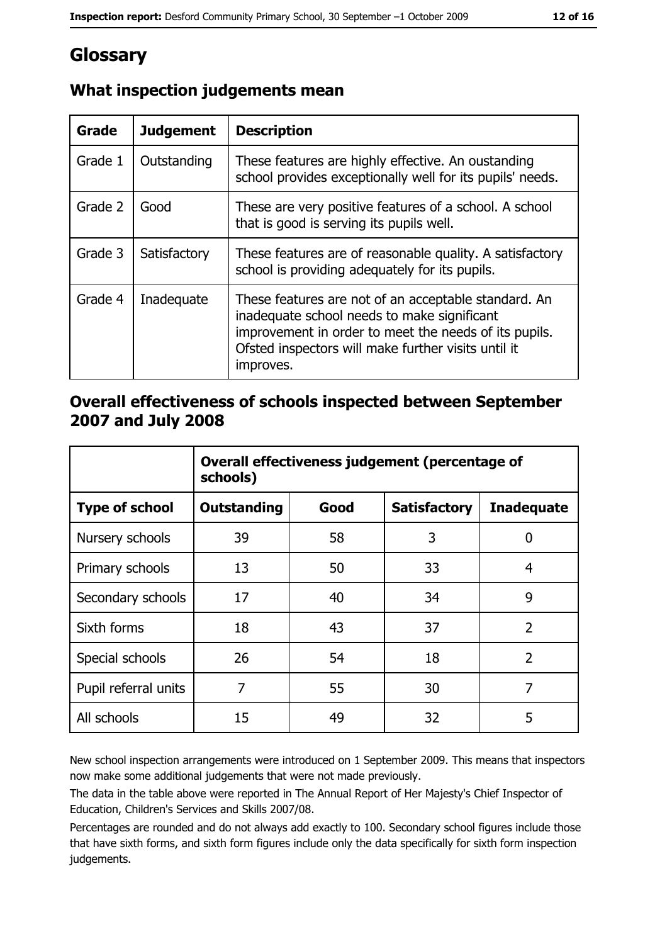# Glossary

| Grade   | <b>Judgement</b> | <b>Description</b>                                                                                                                                                                                                               |
|---------|------------------|----------------------------------------------------------------------------------------------------------------------------------------------------------------------------------------------------------------------------------|
| Grade 1 | Outstanding      | These features are highly effective. An oustanding<br>school provides exceptionally well for its pupils' needs.                                                                                                                  |
| Grade 2 | Good             | These are very positive features of a school. A school<br>that is good is serving its pupils well.                                                                                                                               |
| Grade 3 | Satisfactory     | These features are of reasonable quality. A satisfactory<br>school is providing adequately for its pupils.                                                                                                                       |
| Grade 4 | Inadequate       | These features are not of an acceptable standard. An<br>inadequate school needs to make significant<br>improvement in order to meet the needs of its pupils.<br>Ofsted inspectors will make further visits until it<br>improves. |

# What inspection judgements mean

## Overall effectiveness of schools inspected between September 2007 and July 2008

|                       | Overall effectiveness judgement (percentage of<br>schools) |      |                     |                   |
|-----------------------|------------------------------------------------------------|------|---------------------|-------------------|
| <b>Type of school</b> | <b>Outstanding</b>                                         | Good | <b>Satisfactory</b> | <b>Inadequate</b> |
| Nursery schools       | 39                                                         | 58   | 3                   | 0                 |
| Primary schools       | 13                                                         | 50   | 33                  | 4                 |
| Secondary schools     | 17                                                         | 40   | 34                  | 9                 |
| Sixth forms           | 18                                                         | 43   | 37                  | $\overline{2}$    |
| Special schools       | 26                                                         | 54   | 18                  | $\overline{2}$    |
| Pupil referral units  | 7                                                          | 55   | 30                  | 7                 |
| All schools           | 15                                                         | 49   | 32                  | 5                 |

New school inspection arrangements were introduced on 1 September 2009. This means that inspectors now make some additional judgements that were not made previously.

The data in the table above were reported in The Annual Report of Her Majesty's Chief Inspector of Education, Children's Services and Skills 2007/08.

Percentages are rounded and do not always add exactly to 100. Secondary school figures include those that have sixth forms, and sixth form figures include only the data specifically for sixth form inspection judgements.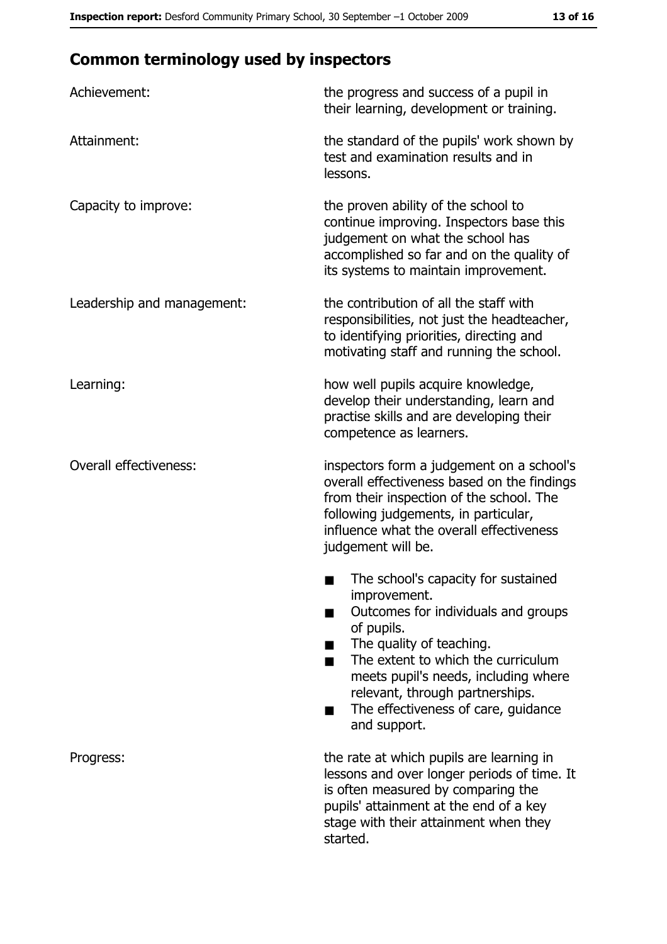# **Common terminology used by inspectors**

| Achievement:                  | the progress and success of a pupil in<br>their learning, development or training.                                                                                                                                                                                                                           |
|-------------------------------|--------------------------------------------------------------------------------------------------------------------------------------------------------------------------------------------------------------------------------------------------------------------------------------------------------------|
| Attainment:                   | the standard of the pupils' work shown by<br>test and examination results and in<br>lessons.                                                                                                                                                                                                                 |
| Capacity to improve:          | the proven ability of the school to<br>continue improving. Inspectors base this<br>judgement on what the school has<br>accomplished so far and on the quality of<br>its systems to maintain improvement.                                                                                                     |
| Leadership and management:    | the contribution of all the staff with<br>responsibilities, not just the headteacher,<br>to identifying priorities, directing and<br>motivating staff and running the school.                                                                                                                                |
| Learning:                     | how well pupils acquire knowledge,<br>develop their understanding, learn and<br>practise skills and are developing their<br>competence as learners.                                                                                                                                                          |
| <b>Overall effectiveness:</b> | inspectors form a judgement on a school's<br>overall effectiveness based on the findings<br>from their inspection of the school. The<br>following judgements, in particular,<br>influence what the overall effectiveness<br>judgement will be.                                                               |
|                               | The school's capacity for sustained<br>improvement.<br>Outcomes for individuals and groups<br>of pupils.<br>The quality of teaching.<br>The extent to which the curriculum<br>meets pupil's needs, including where<br>relevant, through partnerships.<br>The effectiveness of care, guidance<br>and support. |
| Progress:                     | the rate at which pupils are learning in<br>lessons and over longer periods of time. It<br>is often measured by comparing the<br>pupils' attainment at the end of a key<br>stage with their attainment when they<br>started.                                                                                 |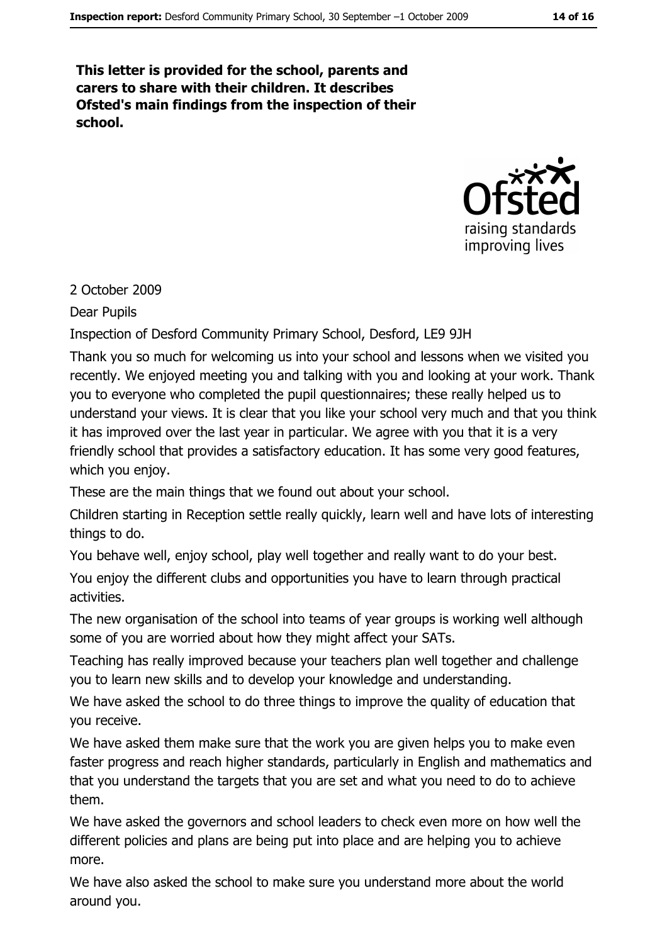This letter is provided for the school, parents and carers to share with their children. It describes Ofsted's main findings from the inspection of their school.



#### 2 October 2009

**Dear Pupils** 

Inspection of Desford Community Primary School, Desford, LE9 9JH

Thank you so much for welcoming us into your school and lessons when we visited you recently. We enjoved meeting you and talking with you and looking at your work. Thank you to everyone who completed the pupil questionnaires; these really helped us to understand your views. It is clear that you like your school very much and that you think it has improved over the last year in particular. We agree with you that it is a very friendly school that provides a satisfactory education. It has some very good features, which you enjoy.

These are the main things that we found out about your school.

Children starting in Reception settle really quickly, learn well and have lots of interesting things to do.

You behave well, enjoy school, play well together and really want to do your best.

You enjoy the different clubs and opportunities you have to learn through practical activities.

The new organisation of the school into teams of year groups is working well although some of you are worried about how they might affect your SATs.

Teaching has really improved because your teachers plan well together and challenge you to learn new skills and to develop your knowledge and understanding.

We have asked the school to do three things to improve the quality of education that you receive.

We have asked them make sure that the work you are given helps you to make even faster progress and reach higher standards, particularly in English and mathematics and that you understand the targets that you are set and what you need to do to achieve them.

We have asked the governors and school leaders to check even more on how well the different policies and plans are being put into place and are helping you to achieve more.

We have also asked the school to make sure you understand more about the world around you.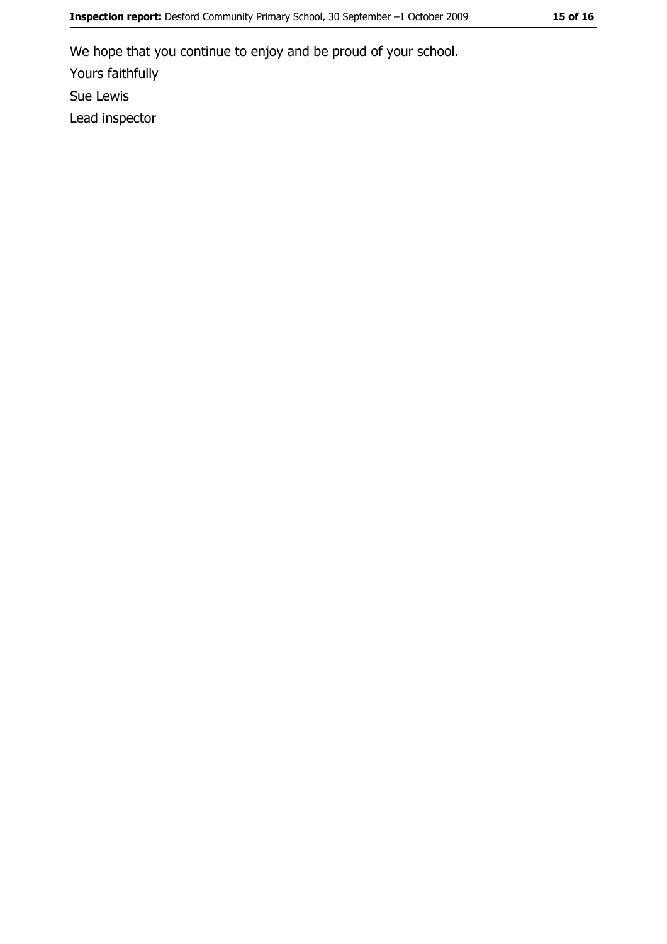We hope that you continue to enjoy and be proud of your school. Yours faithfully Sue Lewis Lead inspector